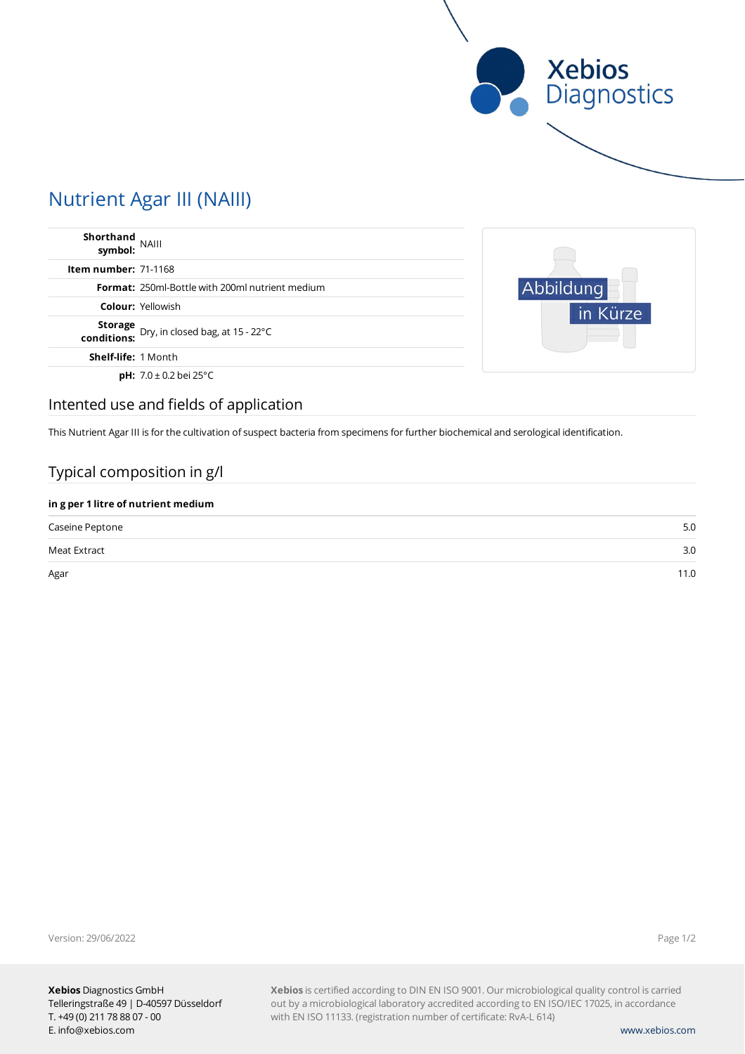

# Nutrient Agar III (NAIII)

| Shorthand<br>symbol: NAIII  |                                                            |
|-----------------------------|------------------------------------------------------------|
| <b>Item number: 71-1168</b> |                                                            |
|                             | <b>Format:</b> 250ml-Bottle with 200ml nutrient medium     |
|                             | <b>Colour: Yellowish</b>                                   |
|                             | Storage<br>Dry, in closed bag, at 15 - 22°C<br>conditions: |
| <b>Shelf-life: 1 Month</b>  |                                                            |
|                             | <b>pH:</b> $7.0 \pm 0.2$ bei 25°C                          |



# Intented use and fields of application

This Nutrient Agar III is for the cultivation of suspect bacteria from specimens for further biochemical and serological identification.

### Typical composition in g/l

| in g per 1 litre of nutrient medium |      |  |  |
|-------------------------------------|------|--|--|
| Caseine Peptone                     | 5.0  |  |  |
| Meat Extract                        | 3.0  |  |  |
| Agar                                | 11.0 |  |  |

Version: 29/06/2022

Page 1/2

**Xebios** is certified according to DIN EN ISO 9001. Our microbiological quality control is carried out by a microbiological laboratory accredited according to EN ISO/IEC 17025, in accordance with EN ISO 11133. (registration number of certificate: RvA-L 614)